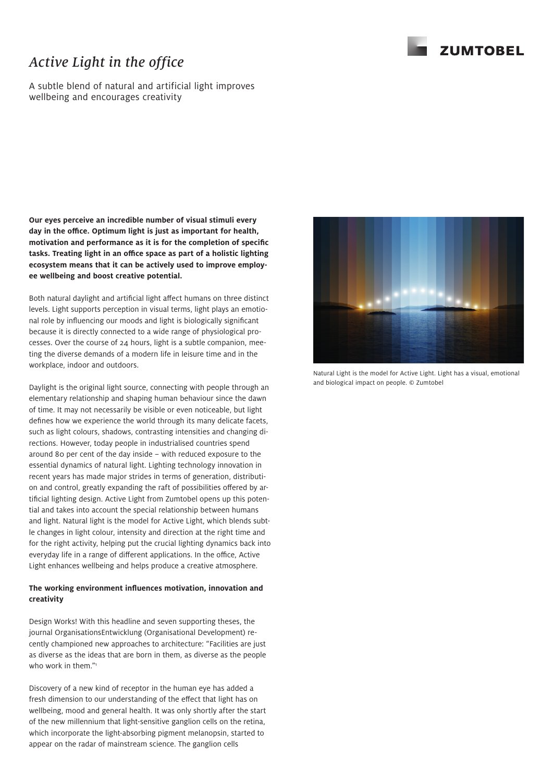# *Active Light in the office*

A subtle blend of natural and artificial light improves wellbeing and encourages creativity

**Our eyes perceive an incredible number of visual stimuli every day in the office. Optimum light is just as important for health, motivation and performance as it is for the completion of specific tasks. Treating light in an office space as part of a holistic lighting ecosystem means that it can be actively used to improve employee wellbeing and boost creative potential.** 

Both natural daylight and artificial light affect humans on three distinct levels. Light supports perception in visual terms, light plays an emotional role by influencing our moods and light is biologically significant because it is directly connected to a wide range of physiological processes. Over the course of 24 hours, light is a subtle companion, meeting the diverse demands of a modern life in leisure time and in the workplace, indoor and outdoors.

Daylight is the original light source, connecting with people through an elementary relationship and shaping human behaviour since the dawn of time. It may not necessarily be visible or even noticeable, but light defines how we experience the world through its many delicate facets, such as light colours, shadows, contrasting intensities and changing directions. However, today people in industrialised countries spend around 80 per cent of the day inside – with reduced exposure to the essential dynamics of natural light. Lighting technology innovation in recent years has made major strides in terms of generation, distribution and control, greatly expanding the raft of possibilities offered by artificial lighting design. Active Light from Zumtobel opens up this potential and takes into account the special relationship between humans and light. Natural light is the model for Active Light, which blends subtle changes in light colour, intensity and direction at the right time and for the right activity, helping put the crucial lighting dynamics back into everyday life in a range of different applications. In the office, Active Light enhances wellbeing and helps produce a creative atmosphere.

### **The working environment influences motivation, innovation and creativity**

Design Works! With this headline and seven supporting theses, the journal OrganisationsEntwicklung (Organisational Development) recently championed new approaches to architecture: "Facilities are just as diverse as the ideas that are born in them, as diverse as the people who work in them."<sup>1</sup>

Discovery of a new kind of receptor in the human eye has added a fresh dimension to our understanding of the effect that light has on wellbeing, mood and general health. It was only shortly after the start of the new millennium that light-sensitive ganglion cells on the retina, which incorporate the light-absorbing pigment melanopsin, started to appear on the radar of mainstream science. The ganglion cells



Natural Light is the model for Active Light. Light has a visual, emotional and biological impact on people. © Zumtobel

### **ZUMTOBEL**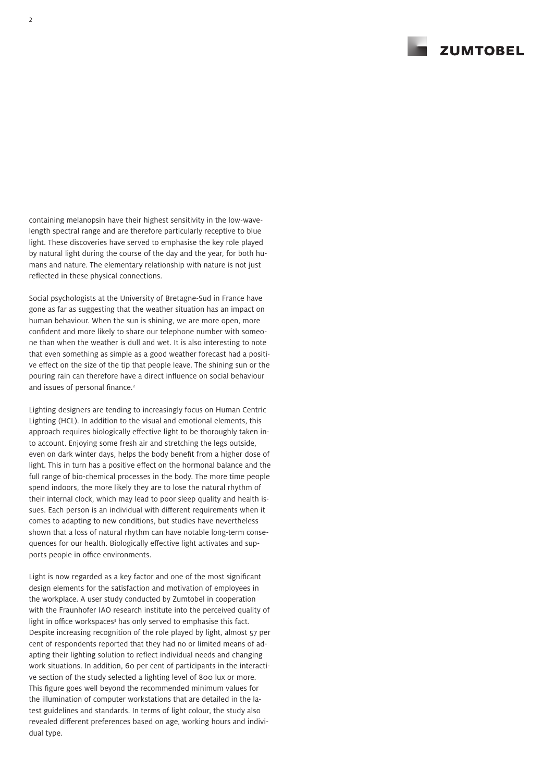**ZUMTOREL** 

containing melanopsin have their highest sensitivity in the low-wavelength spectral range and are therefore particularly receptive to blue light. These discoveries have served to emphasise the key role played by natural light during the course of the day and the year, for both humans and nature. The elementary relationship with nature is not just reflected in these physical connections.

Social psychologists at the University of Bretagne-Sud in France have gone as far as suggesting that the weather situation has an impact on human behaviour. When the sun is shining, we are more open, more confident and more likely to share our telephone number with someone than when the weather is dull and wet. It is also interesting to note that even something as simple as a good weather forecast had a positive effect on the size of the tip that people leave. The shining sun or the pouring rain can therefore have a direct influence on social behaviour and issues of personal finance.<sup>2</sup>

Lighting designers are tending to increasingly focus on Human Centric Lighting (HCL). In addition to the visual and emotional elements, this approach requires biologically effective light to be thoroughly taken into account. Enjoying some fresh air and stretching the legs outside, even on dark winter days, helps the body benefit from a higher dose of light. This in turn has a positive effect on the hormonal balance and the full range of bio-chemical processes in the body. The more time people spend indoors, the more likely they are to lose the natural rhythm of their internal clock, which may lead to poor sleep quality and health issues. Each person is an individual with different requirements when it comes to adapting to new conditions, but studies have nevertheless shown that a loss of natural rhythm can have notable long-term consequences for our health. Biologically effective light activates and supports people in office environments.

Light is now regarded as a key factor and one of the most significant design elements for the satisfaction and motivation of employees in the workplace. A user study conducted by Zumtobel in cooperation with the Fraunhofer IAO research institute into the perceived quality of light in office workspaces<sup>3</sup> has only served to emphasise this fact. Despite increasing recognition of the role played by light, almost 57 per cent of respondents reported that they had no or limited means of adapting their lighting solution to reflect individual needs and changing work situations. In addition, 60 per cent of participants in the interactive section of the study selected a lighting level of 800 lux or more. This figure goes well beyond the recommended minimum values for the illumination of computer workstations that are detailed in the latest guidelines and standards. In terms of light colour, the study also revealed different preferences based on age, working hours and individual type.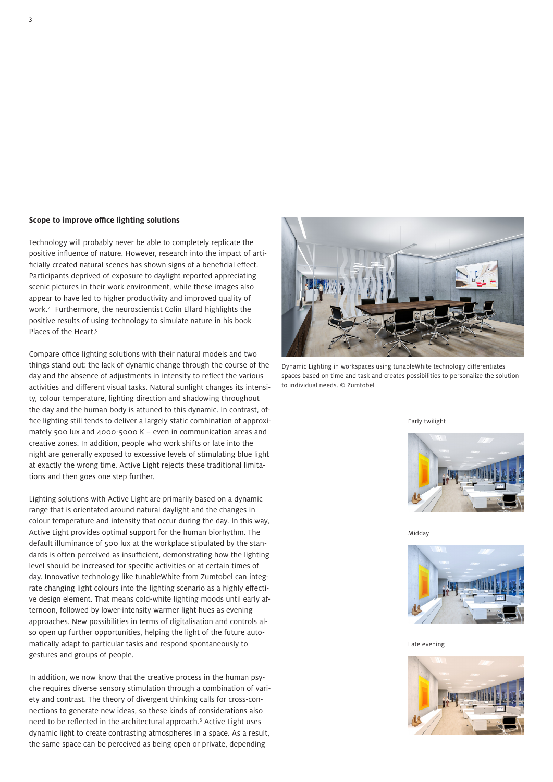#### **Scope to improve office lighting solutions**

Technology will probably never be able to completely replicate the positive influence of nature. However, research into the impact of artificially created natural scenes has shown signs of a beneficial effect. Participants deprived of exposure to daylight reported appreciating scenic pictures in their work environment, while these images also appear to have led to higher productivity and improved quality of work.4 Furthermore, the neuroscientist Colin Ellard highlights the positive results of using technology to simulate nature in his book Places of the Heart.<sup>5</sup>

Compare office lighting solutions with their natural models and two things stand out: the lack of dynamic change through the course of the day and the absence of adjustments in intensity to reflect the various activities and different visual tasks. Natural sunlight changes its intensity, colour temperature, lighting direction and shadowing throughout the day and the human body is attuned to this dynamic. In contrast, office lighting still tends to deliver a largely static combination of approximately 500 lux and 4000-5000 K – even in communication areas and creative zones. In addition, people who work shifts or late into the night are generally exposed to excessive levels of stimulating blue light at exactly the wrong time. Active Light rejects these traditional limitations and then goes one step further.

Lighting solutions with Active Light are primarily based on a dynamic range that is orientated around natural daylight and the changes in colour temperature and intensity that occur during the day. In this way, Active Light provides optimal support for the human biorhythm. The default illuminance of 500 lux at the workplace stipulated by the standards is often perceived as insufficient, demonstrating how the lighting level should be increased for specific activities or at certain times of day. Innovative technology like tunableWhite from Zumtobel can integrate changing light colours into the lighting scenario as a highly effective design element. That means cold-white lighting moods until early afternoon, followed by lower-intensity warmer light hues as evening approaches. New possibilities in terms of digitalisation and controls also open up further opportunities, helping the light of the future automatically adapt to particular tasks and respond spontaneously to gestures and groups of people.

In addition, we now know that the creative process in the human psyche requires diverse sensory stimulation through a combination of variety and contrast. The theory of divergent thinking calls for cross-connections to generate new ideas, so these kinds of considerations also need to be reflected in the architectural approach.<sup>6</sup> Active Light uses dynamic light to create contrasting atmospheres in a space. As a result, the same space can be perceived as being open or private, depending



Dynamic Lighting in workspaces using tunableWhite technology differentiates spaces based on time and task and creates possibilities to personalize the solution to individual needs. © Zumtobel

#### Early twilight



Midday



Late evening

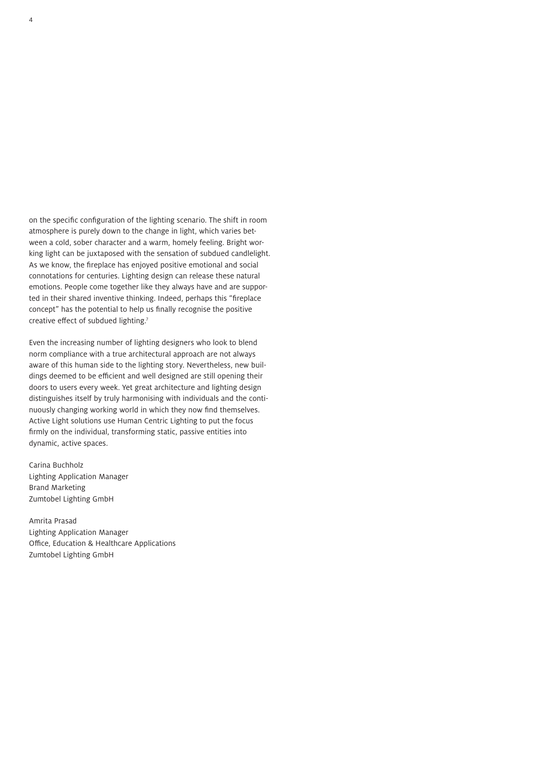on the specific configuration of the lighting scenario. The shift in room atmosphere is purely down to the change in light, which varies between a cold, sober character and a warm, homely feeling. Bright working light can be juxtaposed with the sensation of subdued candlelight. As we know, the fireplace has enjoyed positive emotional and social connotations for centuries. Lighting design can release these natural emotions. People come together like they always have and are supported in their shared inventive thinking. Indeed, perhaps this "fireplace concept" has the potential to help us finally recognise the positive creative effect of subdued lighting.7

Even the increasing number of lighting designers who look to blend norm compliance with a true architectural approach are not always aware of this human side to the lighting story. Nevertheless, new buildings deemed to be efficient and well designed are still opening their doors to users every week. Yet great architecture and lighting design distinguishes itself by truly harmonising with individuals and the continuously changing working world in which they now find themselves. Active Light solutions use Human Centric Lighting to put the focus firmly on the individual, transforming static, passive entities into dynamic, active spaces.

Carina Buchholz Lighting Application Manager Brand Marketing Zumtobel Lighting GmbH

Amrita Prasad Lighting Application Manager Office, Education & Healthcare Applications Zumtobel Lighting GmbH